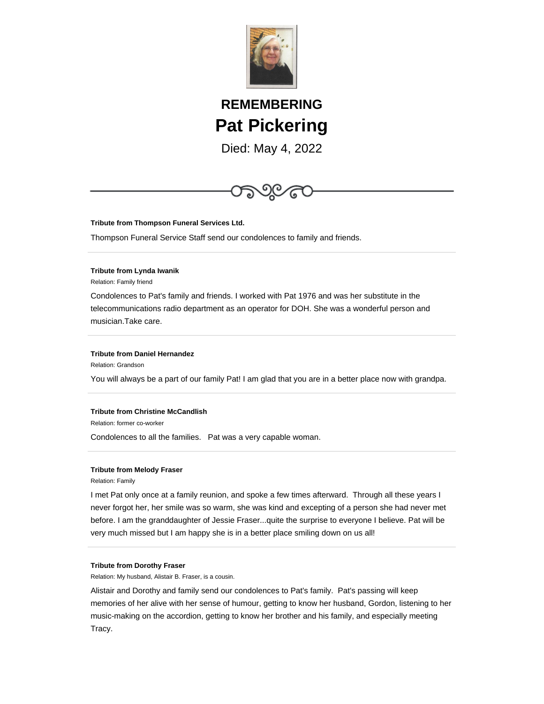

# **REMEMBERING Pat Pickering**

Died: May 4, 2022



### **Tribute from Thompson Funeral Services Ltd.**

Thompson Funeral Service Staff send our condolences to family and friends.

#### **Tribute from Lynda Iwanik**

Relation: Family friend

Condolences to Pat's family and friends. I worked with Pat 1976 and was her substitute in the telecommunications radio department as an operator for DOH. She was a wonderful person and musician.Take care.

#### **Tribute from Daniel Hernandez**

Relation: Grandson

You will always be a part of our family Pat! I am glad that you are in a better place now with grandpa.

## **Tribute from Christine McCandlish**

Relation: former co-worker

Condolences to all the families. Pat was a very capable woman.

## **Tribute from Melody Fraser**

Relation: Family

I met Pat only once at a family reunion, and spoke a few times afterward. Through all these years I never forgot her, her smile was so warm, she was kind and excepting of a person she had never met before. I am the granddaughter of Jessie Fraser...quite the surprise to everyone I believe. Pat will be very much missed but I am happy she is in a better place smiling down on us all!

#### **Tribute from Dorothy Fraser**

Relation: My husband, Alistair B. Fraser, is a cousin.

Alistair and Dorothy and family send our condolences to Pat's family. Pat's passing will keep memories of her alive with her sense of humour, getting to know her husband, Gordon, listening to her music-making on the accordion, getting to know her brother and his family, and especially meeting Tracy.